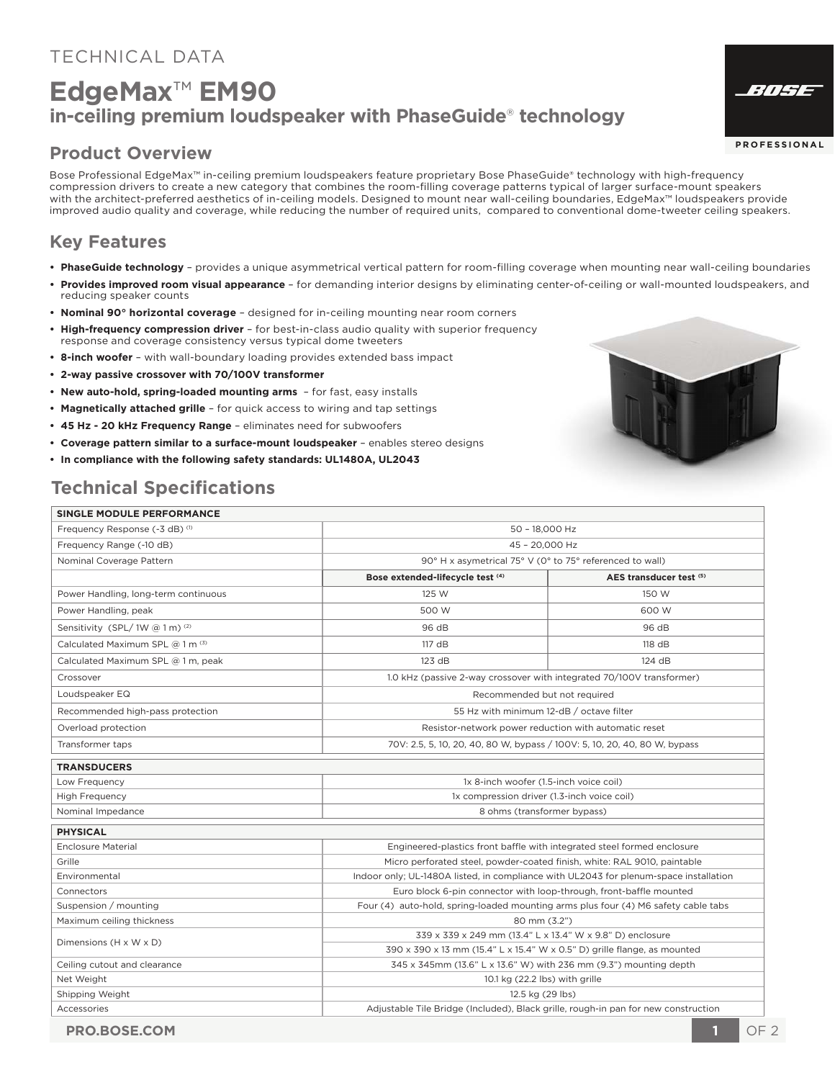#### TECHNICAL DATA

# **EdgeMax**™ **EM90 in-ceiling premium loudspeaker with PhaseGuide**® **technology**

#### **Product Overview**

Bose Professional EdgeMax™ in-ceiling premium loudspeakers feature proprietary Bose PhaseGuide® technology with high-frequency compression drivers to create a new category that combines the room-filling coverage patterns typical of larger surface-mount speakers with the architect-preferred aesthetics of in-ceiling models. Designed to mount near wall-ceiling boundaries, EdgeMax™ loudspeakers provide improved audio quality and coverage, while reducing the number of required units, compared to conventional dome-tweeter ceiling speakers.

#### **Key Features**

- **PhaseGuide technology** provides a unique asymmetrical vertical pattern for room-filling coverage when mounting near wall-ceiling boundaries
- **Provides improved room visual appearance**  for demanding interior designs by eliminating center-of-ceiling or wall-mounted loudspeakers, and reducing speaker counts
- **Nominal 90° horizontal coverage** designed for in-ceiling mounting near room corners
- **High-frequency compression driver** for best-in-class audio quality with superior frequency response and coverage consistency versus typical dome tweeters
- **8-inch woofer** with wall-boundary loading provides extended bass impact
- **2-way passive crossover with 70/100V transformer**
- **New auto-hold, spring-loaded mounting arms**  for fast, easy installs
- **Magnetically attached grille** for quick access to wiring and tap settings
- **45 Hz 20 kHz Frequency Range**  eliminates need for subwoofers
- **Coverage pattern similar to a surface-mount loudspeaker** enables stereo designs
- **In compliance with the following safety standards: UL1480A, UL2043**

### **Technical Specifications**

#### **SINGLE MODULE PERFORMANCE**



**PROFESS IONA L**

805E

| Frequency Response (-3 dB) (1)       | 50 - 18,000 Hz                                                                        |                         |
|--------------------------------------|---------------------------------------------------------------------------------------|-------------------------|
| Frequency Range (-10 dB)             | 45 - 20.000 Hz                                                                        |                         |
| Nominal Coverage Pattern             | 90° H x asymetrical 75° V (0° to 75° referenced to wall)                              |                         |
|                                      | Bose extended-lifecycle test (4)                                                      | AES transducer test (5) |
| Power Handling, long-term continuous | 125 W                                                                                 | 150 W                   |
| Power Handling, peak                 | 500 W                                                                                 | 600 W                   |
| Sensitivity (SPL/1W @ 1 m) (2)       | 96 dB                                                                                 | 96 dB                   |
| Calculated Maximum SPL @ 1 m (3)     | 117 dB                                                                                | 118 dB                  |
| Calculated Maximum SPL @ 1 m, peak   | 123 dB                                                                                | 124 dB                  |
| Crossover                            | 1.0 kHz (passive 2-way crossover with integrated 70/100V transformer)                 |                         |
| Loudspeaker EQ                       | Recommended but not required                                                          |                         |
| Recommended high-pass protection     | 55 Hz with minimum 12-dB / octave filter                                              |                         |
| Overload protection                  | Resistor-network power reduction with automatic reset                                 |                         |
| Transformer taps                     | 70V: 2.5, 5, 10, 20, 40, 80 W, bypass / 100V: 5, 10, 20, 40, 80 W, bypass             |                         |
| <b>TRANSDUCERS</b>                   |                                                                                       |                         |
| Low Frequency                        | 1x 8-inch woofer (1.5-inch voice coil)                                                |                         |
| <b>High Frequency</b>                | 1x compression driver (1.3-inch voice coil)                                           |                         |
| Nominal Impedance                    | 8 ohms (transformer bypass)                                                           |                         |
| <b>PHYSICAL</b>                      |                                                                                       |                         |
| Enclosure Material                   | Engineered-plastics front baffle with integrated steel formed enclosure               |                         |
| Grille                               | Micro perforated steel, powder-coated finish, white: RAL 9010, paintable              |                         |
| Environmental                        | Indoor only; UL-1480A listed, in compliance with UL2043 for plenum-space installation |                         |
| Connectors                           | Euro block 6-pin connector with loop-through, front-baffle mounted                    |                         |
| Suspension / mounting                | Four (4) auto-hold, spring-loaded mounting arms plus four (4) M6 safety cable tabs    |                         |
| Maximum ceiling thickness            | 80 mm (3.2")                                                                          |                         |
| Dimensions (H x W x D)               | 339 x 339 x 249 mm (13.4" L x 13.4" W x 9.8" D) enclosure                             |                         |
|                                      | 390 x 390 x 13 mm (15.4" L x 15.4" W x 0.5" D) grille flange, as mounted              |                         |
| Ceiling cutout and clearance         | 345 x 345mm (13.6" L x 13.6" W) with 236 mm (9.3") mounting depth                     |                         |
| Net Weight                           | 10.1 kg (22.2 lbs) with grille                                                        |                         |
| Shipping Weight                      | 12.5 kg (29 lbs)                                                                      |                         |
| Accessories                          | Adjustable Tile Bridge (Included), Black grille, rough-in pan for new construction    |                         |